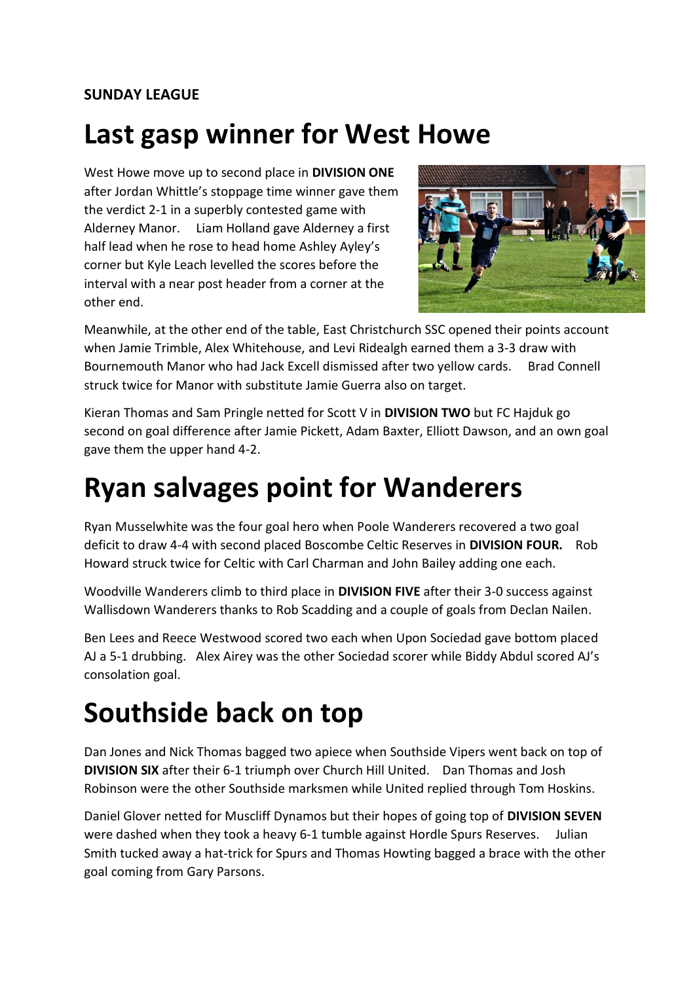#### **SUNDAY LEAGUE**

## **Last gasp winner for West Howe**

West Howe move up to second place in **DIVISION ONE** after Jordan Whittle's stoppage time winner gave them the verdict 2-1 in a superbly contested game with Alderney Manor. Liam Holland gave Alderney a first half lead when he rose to head home Ashley Ayley's corner but Kyle Leach levelled the scores before the interval with a near post header from a corner at the other end.



Meanwhile, at the other end of the table, East Christchurch SSC opened their points account when Jamie Trimble, Alex Whitehouse, and Levi Ridealgh earned them a 3-3 draw with Bournemouth Manor who had Jack Excell dismissed after two yellow cards. Brad Connell struck twice for Manor with substitute Jamie Guerra also on target.

Kieran Thomas and Sam Pringle netted for Scott V in **DIVISION TWO** but FC Hajduk go second on goal difference after Jamie Pickett, Adam Baxter, Elliott Dawson, and an own goal gave them the upper hand 4-2.

## **Ryan salvages point for Wanderers**

Ryan Musselwhite was the four goal hero when Poole Wanderers recovered a two goal deficit to draw 4-4 with second placed Boscombe Celtic Reserves in **DIVISION FOUR.** Rob Howard struck twice for Celtic with Carl Charman and John Bailey adding one each.

Woodville Wanderers climb to third place in **DIVISION FIVE** after their 3-0 success against Wallisdown Wanderers thanks to Rob Scadding and a couple of goals from Declan Nailen.

Ben Lees and Reece Westwood scored two each when Upon Sociedad gave bottom placed AJ a 5-1 drubbing. Alex Airey was the other Sociedad scorer while Biddy Abdul scored AJ's consolation goal.

# **Southside back on top**

Dan Jones and Nick Thomas bagged two apiece when Southside Vipers went back on top of **DIVISION SIX** after their 6-1 triumph over Church Hill United. Dan Thomas and Josh Robinson were the other Southside marksmen while United replied through Tom Hoskins.

Daniel Glover netted for Muscliff Dynamos but their hopes of going top of **DIVISION SEVEN** were dashed when they took a heavy 6-1 tumble against Hordle Spurs Reserves. Julian Smith tucked away a hat-trick for Spurs and Thomas Howting bagged a brace with the other goal coming from Gary Parsons.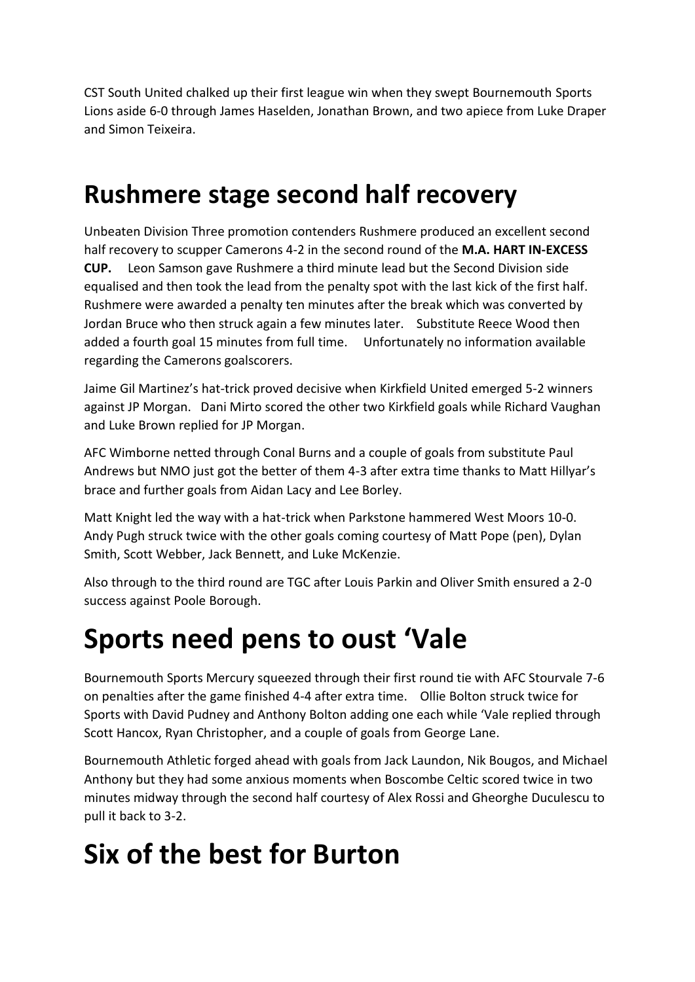CST South United chalked up their first league win when they swept Bournemouth Sports Lions aside 6-0 through James Haselden, Jonathan Brown, and two apiece from Luke Draper and Simon Teixeira.

### **Rushmere stage second half recovery**

Unbeaten Division Three promotion contenders Rushmere produced an excellent second half recovery to scupper Camerons 4-2 in the second round of the **M.A. HART IN-EXCESS CUP.** Leon Samson gave Rushmere a third minute lead but the Second Division side equalised and then took the lead from the penalty spot with the last kick of the first half. Rushmere were awarded a penalty ten minutes after the break which was converted by Jordan Bruce who then struck again a few minutes later. Substitute Reece Wood then added a fourth goal 15 minutes from full time. Unfortunately no information available regarding the Camerons goalscorers.

Jaime Gil Martinez's hat-trick proved decisive when Kirkfield United emerged 5-2 winners against JP Morgan. Dani Mirto scored the other two Kirkfield goals while Richard Vaughan and Luke Brown replied for JP Morgan.

AFC Wimborne netted through Conal Burns and a couple of goals from substitute Paul Andrews but NMO just got the better of them 4-3 after extra time thanks to Matt Hillyar's brace and further goals from Aidan Lacy and Lee Borley.

Matt Knight led the way with a hat-trick when Parkstone hammered West Moors 10-0. Andy Pugh struck twice with the other goals coming courtesy of Matt Pope (pen), Dylan Smith, Scott Webber, Jack Bennett, and Luke McKenzie.

Also through to the third round are TGC after Louis Parkin and Oliver Smith ensured a 2-0 success against Poole Borough.

## **Sports need pens to oust 'Vale**

Bournemouth Sports Mercury squeezed through their first round tie with AFC Stourvale 7-6 on penalties after the game finished 4-4 after extra time. Ollie Bolton struck twice for Sports with David Pudney and Anthony Bolton adding one each while 'Vale replied through Scott Hancox, Ryan Christopher, and a couple of goals from George Lane.

Bournemouth Athletic forged ahead with goals from Jack Laundon, Nik Bougos, and Michael Anthony but they had some anxious moments when Boscombe Celtic scored twice in two minutes midway through the second half courtesy of Alex Rossi and Gheorghe Duculescu to pull it back to 3-2.

# **Six of the best for Burton**